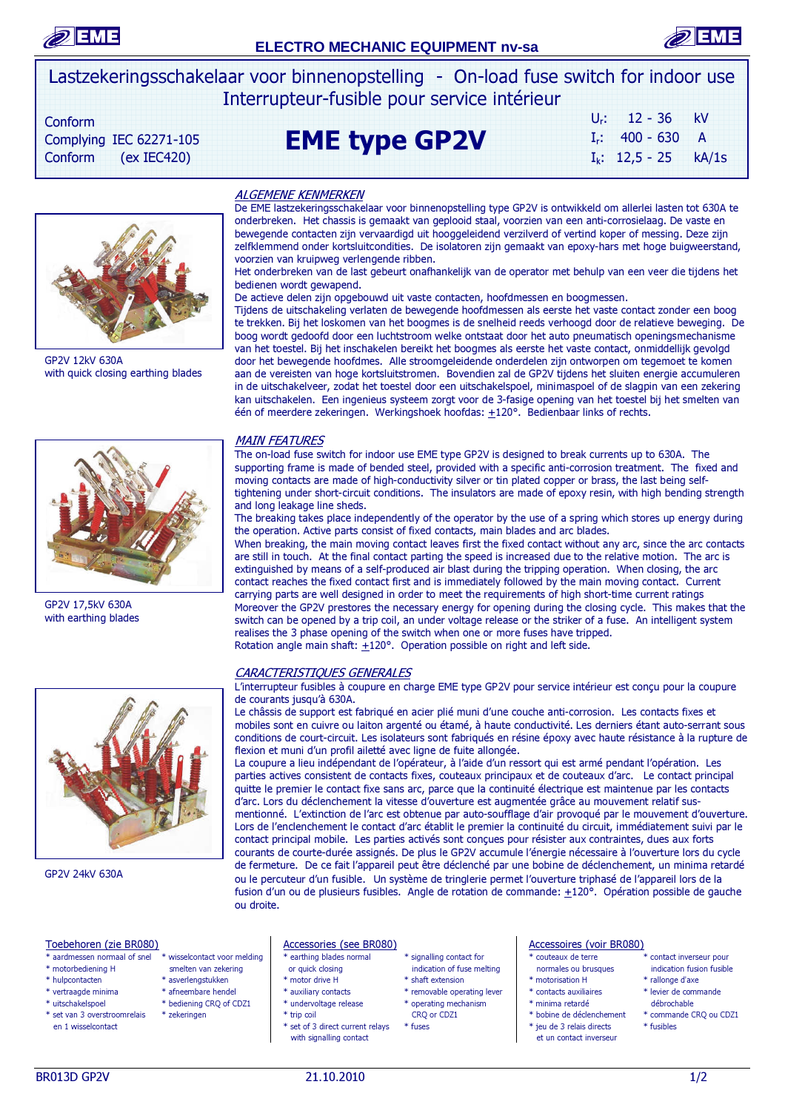



Lastzekeringsschakelaar voor binnenopstelling - On-load fuse switch for indoor use Interrupteur-fusible pour service intérieur

 Conform Complying IEC 62271-105 Conform  $(ex IEC420)$ 



GP2V 12kV 630A

GP2V 17,5kV 630A with earthing blades

# EME type GP2V

| $U_r$ : | $12 - 36$         | kV    |
|---------|-------------------|-------|
|         | $I_r$ : 400 - 630 | A     |
|         | $I_k$ : 12,5 - 25 | kA/1s |



with quick closing earthing blades

Moreover the GP2V prestores the necessary energy for opening during the closing cycle. This makes that the switch can be opened by a trip coil, an under voltage release or the striker of a fuse. An intelligent system realises the 3 phase opening of the switch when one or more fuses have tripped.

### CARACTERISTIQUES GENERALES

L'interrupteur fusibles à coupure en charge EME type GP2V pour service intérieur est conçu pour la coupure de courants jusqu'à 630A.

Le châssis de support est fabriqué en acier plié muni d'une couche anti-corrosion. Les contacts fixes et mobiles sont en cuivre ou laiton argenté ou étamé, à haute conductivité. Les derniers étant auto-serrant sous conditions de court-circuit. Les isolateurs sont fabriqués en résine époxy avec haute résistance à la rupture de flexion et muni d'un profil ailetté avec ligne de fuite allongée.

 ou le percuteur d'un fusible. Un système de tringlerie permet l'ouverture triphasé de l'appareil lors de la La coupure a lieu indépendant de l'opérateur, à l'aide d'un ressort qui est armé pendant l'opération. Les parties actives consistent de contacts fixes, couteaux principaux et de couteaux d'arc. Le contact principal quitte le premier le contact fixe sans arc, parce que la continuité électrique est maintenue par les contacts d'arc. Lors du déclenchement la vitesse d'ouverture est augmentée grâce au mouvement relatif susmentionné. L'extinction de l'arc est obtenue par auto-soufflage d'air provoqué par le mouvement d'ouverture. Lors de l'enclenchement le contact d'arc établit le premier la continuité du circuit, immédiatement suivi par le contact principal mobile. Les parties activés sont conçues pour résister aux contraintes, dues aux forts courants de courte-durée assignés. De plus le GP2V accumule l'énergie nécessaire à l'ouverture lors du cycle de fermeture. De ce fait l'appareil peut être déclenché par une bobine de déclenchement, un minima retardé fusion d'un ou de plusieurs fusibles. Angle de rotation de commande: +120°. Opération possible de gauche ou droite.

\* aardmessen normaal of snel \* wisselcontact voor melding \* earthing blades normal \* signalling contact for \* couteaux de terre \* contact inverseur pour

\* bediening CRQ of CDZ1

- \* motorbediening H smelten van zekering or quick closing indication of fuse melting normales ou brusques indication fusible
- 

GP2V 24kV 630A

 $\overline{\phantom{a}}$  $\overline{\phantom{a}}$  $\overline{\phantom{a}}$ 

- 
- 
- 

- 
- 
- 
- 
- 
- 
- 
- en 1 wisselcontact \* set of 3 direct current relays \* fuses  $*$  fuses  $*$  jeu de 3 relais directs \* fusibles
- 
- \* hulpcontacten \* asverlengstukken \* motor drive H \* shaft extension \* motorisation H \* rallonge d'axe
- \* vertraagde minima \* afneembare hendel \* auxiliary contacts \* removable operating lever \* contacts auxiliaires \* levier de commande<br>\* uitschakelspoel \* bediening CRQ of CDZ1 \* undervoltage release \* operating mechanism \*
- \* set van 3 overstroomrelais \* zekeringen \* trip coil CRQ or CDZ1 \* bobine de déclenchement \* commande CRQ ou CDZ1
	-

- 
- 
- 
- 
- 
- 
- -
	-
	-
	-
- 

ALGEMENE KENMERKEN

De EME lastzekeringsschakelaar voor binnenopstelling type GP2V is ontwikkeld om allerlei lasten tot 630A te onderbreken. Het chassis is gemaakt van geplooid staal, voorzien van een anti-corrosielaag. De vaste en bewegende contacten zijn vervaardigd uit hooggeleidend verzilverd of vertind koper of messing. Deze zijn zelfklemmend onder kortsluitcondities. De isolatoren zijn gemaakt van epoxy-hars met hoge buigweerstand, voorzien van kruipweg verlengende ribben.

Het onderbreken van de last gebeurt onafhankelijk van de operator met behulp van een veer die tijdens het bedienen wordt gewapend.

De actieve delen zijn opgebouwd uit vaste contacten, hoofdmessen en boogmessen.

Tijdens de uitschakeling verlaten de bewegende hoofdmessen als eerste het vaste contact zonder een boog te trekken. Bij het loskomen van het boogmes is de snelheid reeds verhoogd door de relatieve beweging. De boog wordt gedoofd door een luchtstroom welke ontstaat door het auto pneumatisch openingsmechanisme van het toestel. Bij het inschakelen bereikt het boogmes als eerste het vaste contact, onmiddellijk gevolgd door het bewegende hoofdmes. Alle stroomgeleidende onderdelen zijn ontworpen om tegemoet te komen aan de vereisten van hoge kortsluitstromen. Bovendien zal de GP2V tijdens het sluiten energie accumuleren in de uitschakelveer, zodat het toestel door een uitschakelspoel, minimaspoel of de slagpin van een zekering kan uitschakelen. Een ingenieus systeem zorgt voor de 3-fasige opening van het toestel bij het smelten van één of meerdere zekeringen. Werkingshoek hoofdas:  $\pm 120^\circ$ . Bedienbaar links of rechts.

## MAIN FEATURES

The on-load fuse switch for indoor use EME type GP2V is designed to break currents up to 630A. The supporting frame is made of bended steel, provided with a specific anti-corrosion treatment. The fixed and moving contacts are made of high-conductivity silver or tin plated copper or brass, the last being selftightening under short-circuit conditions. The insulators are made of epoxy resin, with high bending strength and long leakage line sheds.

The breaking takes place independently of the operator by the use of a spring which stores up energy during the operation. Active parts consist of fixed contacts, main blades and arc blades.

When breaking, the main moving contact leaves first the fixed contact without any arc, since the arc contacts are still in touch. At the final contact parting the speed is increased due to the relative motion. The arc is extinguished by means of a self-produced air blast during the tripping operation. When closing, the arc contact reaches the fixed contact first and is immediately followed by the main moving contact. Current carrying parts are well designed in order to meet the requirements of high short-time current ratings

Rotation angle main shaft:  $\pm 120^\circ$ . Operation possible on right and left side.

Toebehoren (zie BR080)<br>\* aardmessen normaal of spel \* wisselcontact voor melding \* earthing blades normal \* signalling contact for \* couteaux de terre

- 
- 
- 
- 
- 
- 
- 
- with signalling contact et un contact inverseur with signalling contact inverseur et un contact inverseur et un contact inverseur et un contact inverseur et un contact inverseur et un contact inverseur et un contact invers